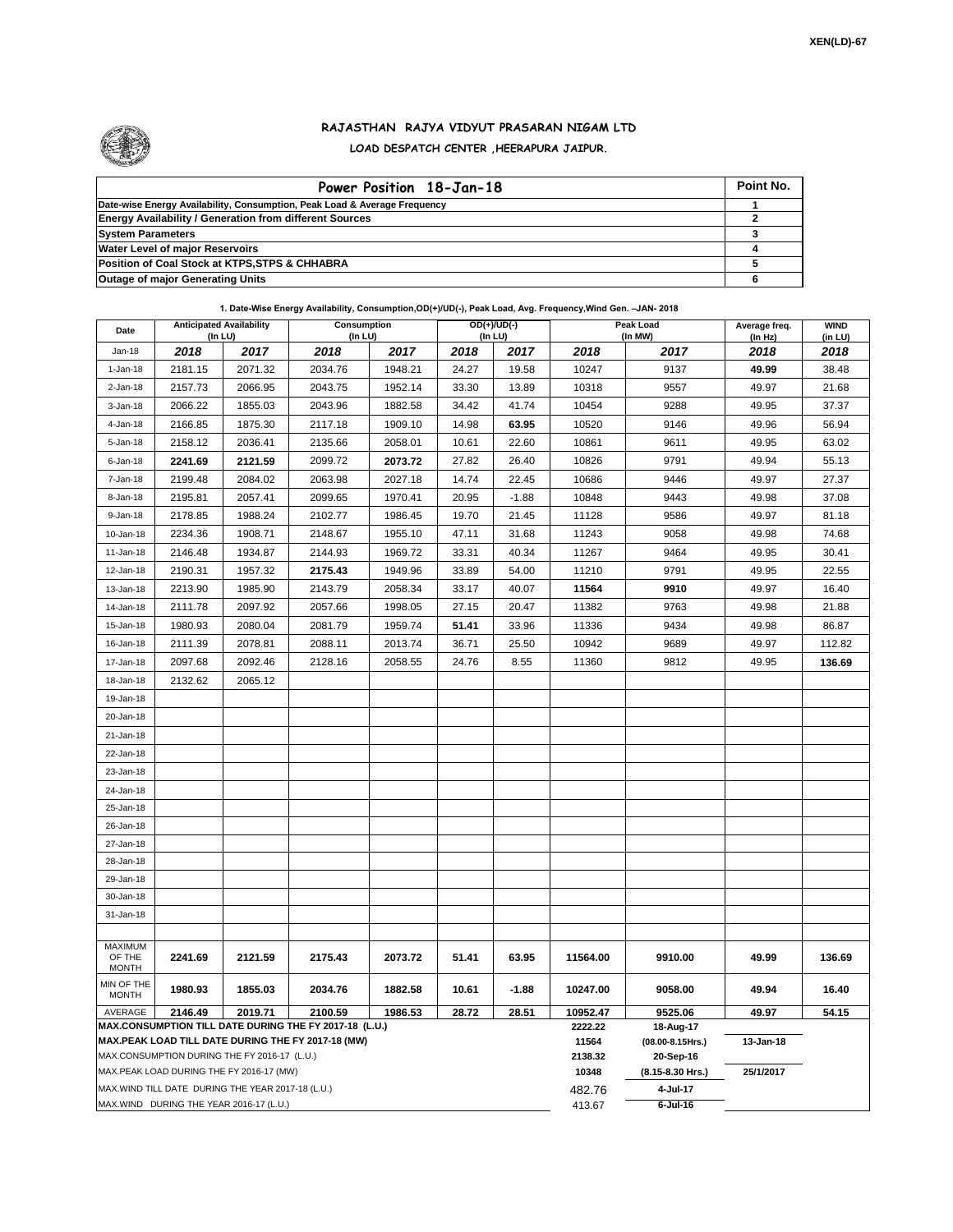

## **RAJASTHAN RAJYA VIDYUT PRASARAN NIGAM LTD LOAD DESPATCH CENTER ,HEERAPURA JAIPUR.**

| Power Position 18-Jan-18                                                  | Point No. |
|---------------------------------------------------------------------------|-----------|
| Date-wise Energy Availability, Consumption, Peak Load & Average Frequency |           |
| <b>Energy Availability / Generation from different Sources</b>            |           |
| <b>System Parameters</b>                                                  |           |
| <b>Water Level of major Reservoirs</b>                                    |           |
| Position of Coal Stock at KTPS, STPS & CHHABRA                            |           |
| <b>Outage of major Generating Units</b>                                   |           |

## **1. Date-Wise Energy Availability, Consumption,OD(+)/UD(-), Peak Load, Avg. Frequency,Wind Gen. –JAN- 2018**

| Date                                     |                                                    | <b>Anticipated Availability</b><br>Consumption<br>$($ In LU $)$<br>(In LU) |                                                                   | $OD(+)/UD(-)$<br>(In LU) |       |                  | Peak Load<br>(In MW) | Average freq.<br>(In Hz)      | <b>WIND</b><br>(in LU) |        |
|------------------------------------------|----------------------------------------------------|----------------------------------------------------------------------------|-------------------------------------------------------------------|--------------------------|-------|------------------|----------------------|-------------------------------|------------------------|--------|
| $Jan-18$                                 | 2018                                               | 2017                                                                       | 2018                                                              | 2017                     | 2018  | 2017             | 2018                 | 2017                          | 2018                   | 2018   |
| $1-Jan-18$                               | 2181.15                                            | 2071.32                                                                    | 2034.76                                                           | 1948.21                  | 24.27 | 19.58            | 10247                | 9137                          | 49.99                  | 38.48  |
| $2 - Jan-18$                             | 2157.73                                            | 2066.95                                                                    | 2043.75                                                           | 1952.14                  | 33.30 | 13.89            | 10318                | 9557                          | 49.97                  | 21.68  |
| $3 - Jan-18$                             | 2066.22                                            | 1855.03                                                                    | 2043.96                                                           | 1882.58                  | 34.42 | 41.74            | 10454                | 9288                          | 49.95                  | 37.37  |
| 4-Jan-18                                 | 2166.85                                            | 1875.30                                                                    | 2117.18                                                           | 1909.10                  | 14.98 | 63.95            | 10520                | 9146                          | 49.96                  | 56.94  |
| 5-Jan-18                                 | 2158.12                                            | 2036.41                                                                    | 2135.66                                                           | 2058.01                  | 10.61 | 22.60            | 10861                | 9611                          | 49.95                  | 63.02  |
| 6-Jan-18                                 | 2241.69                                            | 2121.59                                                                    | 2099.72                                                           | 2073.72                  | 27.82 | 26.40            | 10826                | 9791                          | 49.94                  | 55.13  |
| 7-Jan-18                                 | 2199.48                                            | 2084.02                                                                    | 2063.98                                                           | 2027.18                  | 14.74 | 22.45            | 10686                | 9446                          | 49.97                  | 27.37  |
| 8-Jan-18                                 | 2195.81                                            | 2057.41                                                                    | 2099.65                                                           | 1970.41                  | 20.95 | $-1.88$          | 10848                | 9443                          | 49.98                  | 37.08  |
| 9-Jan-18                                 | 2178.85                                            | 1988.24                                                                    | 2102.77                                                           | 1986.45                  | 19.70 | 21.45            | 11128                | 9586                          | 49.97                  | 81.18  |
| 10-Jan-18                                | 2234.36                                            | 1908.71                                                                    | 2148.67                                                           | 1955.10                  | 47.11 | 31.68            | 11243                | 9058                          | 49.98                  | 74.68  |
| $11 - Jan-18$                            | 2146.48                                            | 1934.87                                                                    | 2144.93                                                           | 1969.72                  | 33.31 | 40.34            | 11267                | 9464                          | 49.95                  | 30.41  |
| 12-Jan-18                                | 2190.31                                            | 1957.32                                                                    | 2175.43                                                           | 1949.96                  | 33.89 | 54.00            | 11210                | 9791                          | 49.95                  | 22.55  |
| 13-Jan-18                                | 2213.90                                            | 1985.90                                                                    | 2143.79                                                           | 2058.34                  | 33.17 | 40.07            | 11564                | 9910                          | 49.97                  | 16.40  |
| 14-Jan-18                                | 2111.78                                            | 2097.92                                                                    | 2057.66                                                           | 1998.05                  | 27.15 | 20.47            | 11382                | 9763                          | 49.98                  | 21.88  |
| 15-Jan-18                                | 1980.93                                            | 2080.04                                                                    | 2081.79                                                           | 1959.74                  | 51.41 | 33.96            | 11336                | 9434                          | 49.98                  | 86.87  |
| 16-Jan-18                                | 2111.39                                            | 2078.81                                                                    | 2088.11                                                           | 2013.74                  | 36.71 | 25.50            | 10942                | 9689                          | 49.97                  | 112.82 |
| 17-Jan-18                                | 2097.68                                            | 2092.46                                                                    | 2128.16                                                           | 2058.55                  | 24.76 | 8.55             | 11360                | 9812                          | 49.95                  | 136.69 |
| 18-Jan-18                                | 2132.62                                            | 2065.12                                                                    |                                                                   |                          |       |                  |                      |                               |                        |        |
| 19-Jan-18                                |                                                    |                                                                            |                                                                   |                          |       |                  |                      |                               |                        |        |
| 20-Jan-18                                |                                                    |                                                                            |                                                                   |                          |       |                  |                      |                               |                        |        |
| 21-Jan-18                                |                                                    |                                                                            |                                                                   |                          |       |                  |                      |                               |                        |        |
| 22-Jan-18                                |                                                    |                                                                            |                                                                   |                          |       |                  |                      |                               |                        |        |
| 23-Jan-18                                |                                                    |                                                                            |                                                                   |                          |       |                  |                      |                               |                        |        |
| 24-Jan-18                                |                                                    |                                                                            |                                                                   |                          |       |                  |                      |                               |                        |        |
| 25-Jan-18                                |                                                    |                                                                            |                                                                   |                          |       |                  |                      |                               |                        |        |
| 26-Jan-18                                |                                                    |                                                                            |                                                                   |                          |       |                  |                      |                               |                        |        |
| 27-Jan-18                                |                                                    |                                                                            |                                                                   |                          |       |                  |                      |                               |                        |        |
| 28-Jan-18                                |                                                    |                                                                            |                                                                   |                          |       |                  |                      |                               |                        |        |
| 29-Jan-18                                |                                                    |                                                                            |                                                                   |                          |       |                  |                      |                               |                        |        |
| 30-Jan-18                                |                                                    |                                                                            |                                                                   |                          |       |                  |                      |                               |                        |        |
| 31-Jan-18                                |                                                    |                                                                            |                                                                   |                          |       |                  |                      |                               |                        |        |
|                                          |                                                    |                                                                            |                                                                   |                          |       |                  |                      |                               |                        |        |
| <b>MAXIMUM</b><br>OF THE<br><b>MONTH</b> | 2241.69                                            | 2121.59                                                                    | 2175.43                                                           | 2073.72                  | 51.41 | 63.95            | 11564.00             | 9910.00                       | 49.99                  | 136.69 |
| MIN OF THE<br>MONTH                      | 1980.93                                            | 1855.03                                                                    | 2034.76                                                           | 1882.58                  | 10.61 | $-1.88$          | 10247.00             | 9058.00                       | 49.94                  | 16.40  |
| AVERAGE                                  | 2146.49                                            | 2019.71                                                                    | 2100.59<br>MAX.CONSUMPTION TILL DATE DURING THE FY 2017-18 (L.U.) | 1986.53                  | 28.72 | 28.51            | 10952.47             | 9525.06                       | 49.97                  | 54.15  |
|                                          |                                                    |                                                                            | MAX.PEAK LOAD TILL DATE DURING THE FY 2017-18 (MW)                |                          |       |                  | 2222.22<br>11564     | 18-Aug-17<br>(08.00-8.15Hrs.) | 13-Jan-18              |        |
|                                          | MAX.CONSUMPTION DURING THE FY 2016-17 (L.U.)       |                                                                            |                                                                   |                          |       |                  | 2138.32              | 20-Sep-16                     |                        |        |
| MAX.PEAK LOAD DURING THE FY 2016-17 (MW) |                                                    |                                                                            |                                                                   |                          | 10348 | (8.15-8.30 Hrs.) | 25/1/2017            |                               |                        |        |
|                                          | MAX. WIND TILL DATE DURING THE YEAR 2017-18 (L.U.) |                                                                            |                                                                   |                          |       |                  | 482.76               | 4-Jul-17                      |                        |        |
|                                          | MAX.WIND DURING THE YEAR 2016-17 (L.U.)            |                                                                            |                                                                   |                          |       |                  | 413.67               | $6$ -Jul-16                   |                        |        |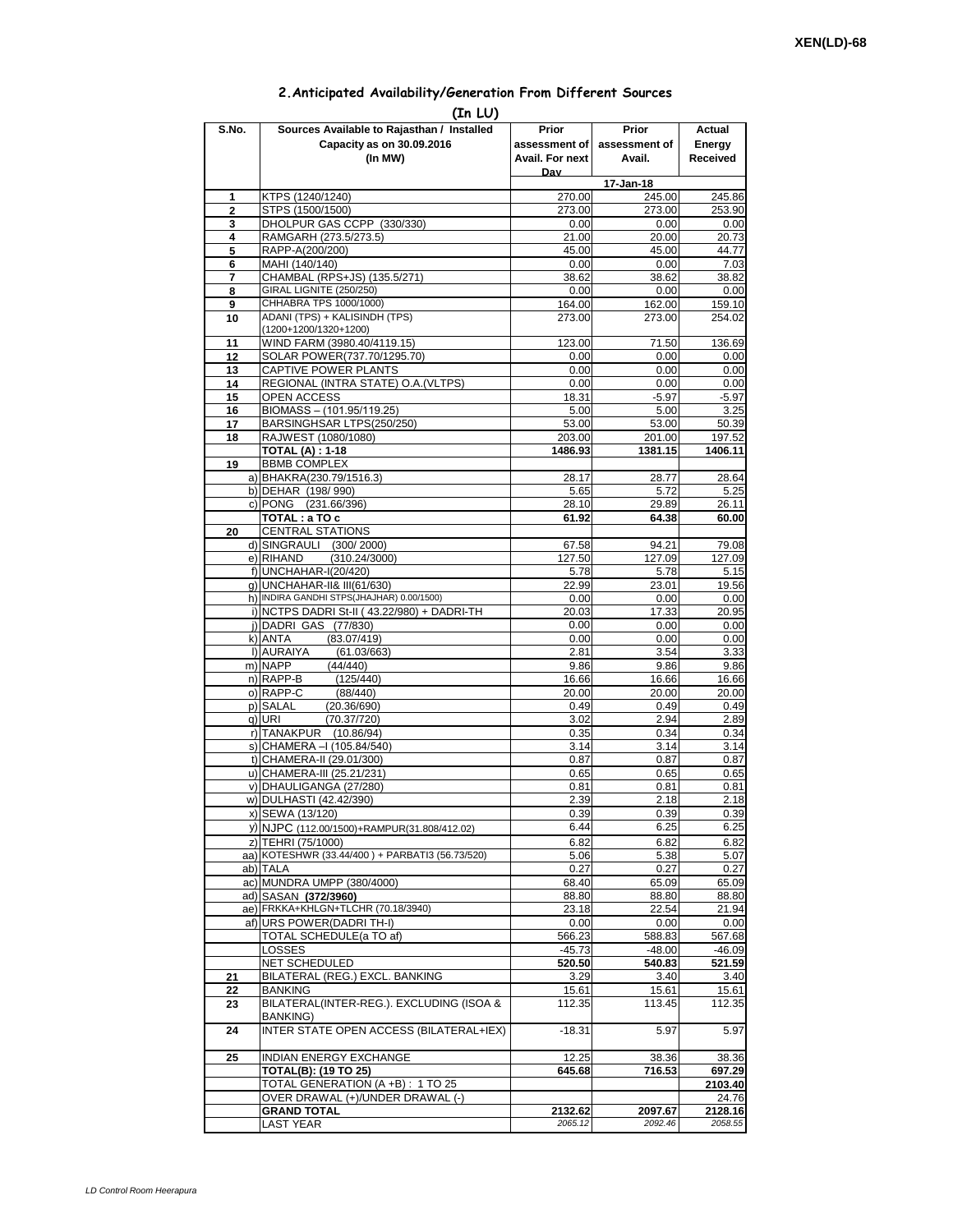## **2.Anticipated Availability/Generation From Different Sources**

|                     | (In LU)                                                                 |                          |                        |                   |
|---------------------|-------------------------------------------------------------------------|--------------------------|------------------------|-------------------|
| S.No.               | Sources Available to Rajasthan / Installed<br>Capacity as on 30.09.2016 | Prior<br>assessment of l | Prior<br>assessment of | Actual<br>Energy  |
|                     | (In MW)                                                                 | Avail. For next          | Avail.                 | Received          |
|                     |                                                                         | Dav                      |                        |                   |
|                     |                                                                         |                          | 17-Jan-18              |                   |
| 1<br>$\overline{2}$ | KTPS (1240/1240)                                                        | 270.00<br>273.00         | 245.00<br>273.00       | 245.86<br>253.90  |
| 3                   | STPS (1500/1500)<br>DHOLPUR GAS CCPP (330/330)                          | 0.00                     | 0.00                   | 0.00              |
| 4                   | RAMGARH (273.5/273.5)                                                   | 21.00                    | 20.00                  | 20.73             |
| 5                   | RAPP-A(200/200)                                                         | 45.00                    | 45.00                  | 44.77             |
| 6                   | MAHI (140/140)                                                          | 0.00                     | 0.00                   | 7.03              |
| 7                   | CHAMBAL (RPS+JS) (135.5/271)                                            | 38.62                    | 38.62                  | 38.82             |
| 8                   | GIRAL LIGNITE (250/250)<br>CHHABRA TPS 1000/1000)                       | 0.00                     | 0.00                   | 0.00              |
| 9<br>10             | ADANI (TPS) + KALISINDH (TPS)                                           | 164.00<br>273.00         | 162.00<br>273.00       | 159.10<br>254.02  |
|                     | (1200+1200/1320+1200)                                                   |                          |                        |                   |
| 11                  | WIND FARM (3980.40/4119.15)                                             | 123.00                   | 71.50                  | 136.69            |
| 12                  | SOLAR POWER(737.70/1295.70)                                             | 0.00                     | 0.00                   | 0.00              |
| 13                  | CAPTIVE POWER PLANTS                                                    | 0.00                     | 0.00                   | 0.00              |
| 14                  | REGIONAL (INTRA STATE) O.A. (VLTPS)                                     | 0.00                     | 0.00                   | 0.00              |
| 15                  | OPEN ACCESS                                                             | 18.31                    | $-5.97$                | $-5.97$           |
| 16<br>17            | BIOMASS - (101.95/119.25)<br>BARSINGHSAR LTPS(250/250)                  | 5.00<br>53.00            | 5.00<br>53.00          | 3.25<br>50.39     |
| 18                  | RAJWEST (1080/1080)                                                     | 203.00                   | 201.00                 | 197.52            |
|                     | <b>TOTAL (A): 1-18</b>                                                  | 1486.93                  | 1381.15                | 1406.11           |
| 19                  | <b>BBMB COMPLEX</b>                                                     |                          |                        |                   |
|                     | a) BHAKRA(230.79/1516.3)                                                | 28.17                    | 28.77                  | 28.64             |
|                     | b) DEHAR (198/990)                                                      | 5.65                     | 5.72                   | 5.25              |
|                     | c) PONG (231.66/396)                                                    | 28.10                    | 29.89                  | 26.11             |
| 20                  | TOTAL: a TO c<br><b>CENTRAL STATIONS</b>                                | 61.92                    | 64.38                  | 60.00             |
|                     | d) SINGRAULI (300/2000)                                                 | 67.58                    | 94.21                  | 79.08             |
|                     | e) RIHAND<br>(310.24/3000)                                              | 127.50                   | 127.09                 | 127.09            |
|                     | f) UNCHAHAR-I(20/420)                                                   | 5.78                     | 5.78                   | 5.15              |
|                     | q) UNCHAHAR-II& III(61/630)                                             | 22.99                    | 23.01                  | 19.56             |
|                     | h) INDIRA GANDHI STPS(JHAJHAR) 0.00/1500)                               | 0.00                     | 0.00                   | 0.00              |
|                     | i) NCTPS DADRI St-II (43.22/980) + DADRI-TH                             | 20.03                    | 17.33                  | 20.95             |
|                     | j) DADRI GAS (77/830)<br>k) ANTA<br>(83.07/419)                         | 0.00<br>0.00             | 0.00<br>0.00           | 0.00<br>0.00      |
|                     | I) AURAIYA<br>(61.03/663)                                               | 2.81                     | 3.54                   | 3.33              |
|                     | m) NAPP<br>(44/440)                                                     | 9.86                     | 9.86                   | 9.86              |
|                     | n) RAPP-B<br>(125/440)                                                  | 16.66                    | 16.66                  | 16.66             |
|                     | o) RAPP-C<br>(88/440)                                                   | 20.00                    | 20.00                  | 20.00             |
|                     | (20.36/690)<br>p) SALAL                                                 | 0.49                     | 0.49                   | 0.49              |
|                     | q) URI<br>(70.37/720)                                                   | 3.02                     | 2.94                   | 2.89              |
|                     | r) TANAKPUR (10.86/94)<br>s) CHAMERA - (105.84/540)                     | 0.35<br>3.14             | 0.34<br>3.14           | 0.34<br>3.14      |
|                     | t) CHAMERA-II (29.01/300)                                               | 0.87                     | 0.87                   | 0.87              |
|                     | u) CHAMERA-III (25.21/231)                                              | 0.65                     | 0.65                   | 0.65              |
| V)                  | DHAULIGANGA (27/280)                                                    | 0.81                     | 0.81                   | 0.81              |
|                     | w) DULHASTI (42.42/390)                                                 | 2.39                     | 2.18                   | 2.18              |
|                     | x) SEWA (13/120)                                                        | 0.39                     | 0.39                   | 0.39              |
|                     | y) NJPC (112.00/1500)+RAMPUR(31.808/412.02)                             | 6.44                     | 6.25                   | 6.25              |
|                     | z) TEHRI (75/1000)                                                      | 6.82                     | 6.82                   | 6.82              |
|                     | aa) KOTESHWR (33.44/400) + PARBATI3 (56.73/520)<br>ab) TALA             | 5.06<br>0.27             | 5.38<br>0.27           | 5.07<br>0.27      |
|                     | ac) MUNDRA UMPP (380/4000)                                              | 68.40                    | 65.09                  | 65.09             |
|                     | ad) SASAN (372/3960)                                                    | 88.80                    | 88.80                  | 88.80             |
|                     | ae) FRKKA+KHLGN+TLCHR (70.18/3940)                                      | 23.18                    | 22.54                  | 21.94             |
|                     | af) URS POWER(DADRI TH-I)                                               | 0.00                     | 0.00                   | 0.00              |
|                     | TOTAL SCHEDULE(a TO af)                                                 | 566.23                   | 588.83                 | 567.68            |
|                     | LOSSES                                                                  | $-45.73$                 | $-48.00$               | $-46.09$          |
|                     | NET SCHEDULED<br>BILATERAL (REG.) EXCL. BANKING                         | 520.50                   | 540.83<br>3.40         | 521.59            |
| 21<br>22            | <b>BANKING</b>                                                          | 3.29<br>15.61            | 15.61                  | 3.40<br>15.61     |
| 23                  | BILATERAL(INTER-REG.). EXCLUDING (ISOA &                                | 112.35                   | 113.45                 | 112.35            |
|                     | BANKING)                                                                |                          |                        |                   |
| 24                  | INTER STATE OPEN ACCESS (BILATERAL+IEX)                                 | $-18.31$                 | 5.97                   | 5.97              |
|                     |                                                                         |                          |                        |                   |
| 25                  | INDIAN ENERGY EXCHANGE                                                  | 12.25                    | 38.36                  | 38.36             |
|                     | <b>TOTAL(B): (19 TO 25)</b><br>TOTAL GENERATION (A +B) : 1 TO 25        | 645.68                   | 716.53                 | 697.29<br>2103.40 |
|                     | OVER DRAWAL (+)/UNDER DRAWAL (-)                                        |                          |                        | 24.76             |
|                     | <b>GRAND TOTAL</b>                                                      | 2132.62                  | 2097.67                | 2128.16           |
|                     | <b>LAST YEAR</b>                                                        | 2065.12                  | 2092.46                | 2058.55           |
|                     |                                                                         |                          |                        |                   |